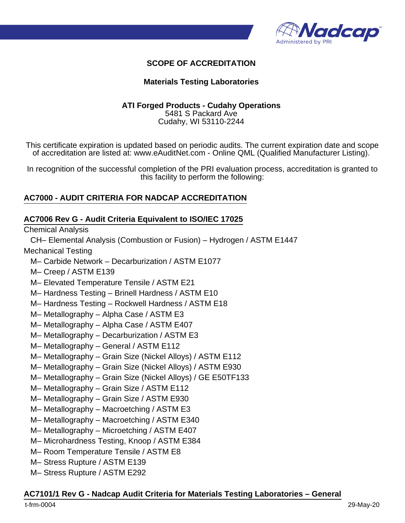

#### **SCOPE OF ACCREDITATION**

#### **Materials Testing Laboratories**

#### **ATI Forged Products - Cudahy Operations** 5481 S Packard Ave Cudahy, WI 53110-2244

This certificate expiration is updated based on periodic audits. The current expiration date and scope of accreditation are listed at: www.eAuditNet.com - Online QML (Qualified Manufacturer Listing).

In recognition of the successful completion of the PRI evaluation process, accreditation is granted to this facility to perform the following:

#### **AC7000 - AUDIT CRITERIA FOR NADCAP ACCREDITATION**

#### **AC7006 Rev G - Audit Criteria Equivalent to ISO/IEC 17025**

Chemical Analysis

CH– Elemental Analysis (Combustion or Fusion) – Hydrogen / ASTM E1447

Mechanical Testing

- M– Carbide Network Decarburization / ASTM E1077
- M– Creep / ASTM E139
- M– Elevated Temperature Tensile / ASTM E21
- M– Hardness Testing Brinell Hardness / ASTM E10
- M– Hardness Testing Rockwell Hardness / ASTM E18
- M– Metallography Alpha Case / ASTM E3
- M– Metallography Alpha Case / ASTM E407
- M– Metallography Decarburization / ASTM E3
- M– Metallography General / ASTM E112
- M– Metallography Grain Size (Nickel Alloys) / ASTM E112
- M– Metallography Grain Size (Nickel Alloys) / ASTM E930
- M– Metallography Grain Size (Nickel Alloys) / GE E50TF133
- M– Metallography Grain Size / ASTM E112
- M– Metallography Grain Size / ASTM E930
- M– Metallography Macroetching / ASTM E3
- M– Metallography Macroetching / ASTM E340
- M– Metallography Microetching / ASTM E407
- M– Microhardness Testing, Knoop / ASTM E384
- M– Room Temperature Tensile / ASTM E8
- M– Stress Rupture / ASTM E139
- M– Stress Rupture / ASTM E292

#### **AC7101/1 Rev G - Nadcap Audit Criteria for Materials Testing Laboratories – General**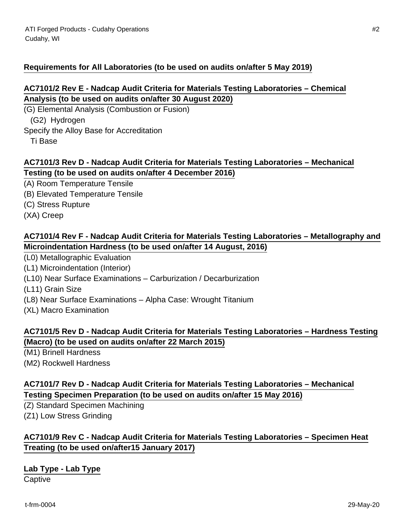### **Requirements for All Laboratories (to be used on audits on/after 5 May 2019)**

#### **AC7101/2 Rev E - Nadcap Audit Criteria for Materials Testing Laboratories – Chemical Analysis (to be used on audits on/after 30 August 2020)**

(G) Elemental Analysis (Combustion or Fusion) (G2) Hydrogen Specify the Alloy Base for Accreditation

Ti Base

#### **AC7101/3 Rev D - Nadcap Audit Criteria for Materials Testing Laboratories – Mechanical Testing (to be used on audits on/after 4 December 2016)**

- (A) Room Temperature Tensile
- (B) Elevated Temperature Tensile
- (C) Stress Rupture
- (XA) Creep

### **AC7101/4 Rev F - Nadcap Audit Criteria for Materials Testing Laboratories – Metallography and Microindentation Hardness (to be used on/after 14 August, 2016)**

- (L0) Metallographic Evaluation
- (L1) Microindentation (Interior)
- (L10) Near Surface Examinations Carburization / Decarburization
- (L11) Grain Size
- (L8) Near Surface Examinations Alpha Case: Wrought Titanium
- (XL) Macro Examination

# **AC7101/5 Rev D - Nadcap Audit Criteria for Materials Testing Laboratories – Hardness Testing (Macro) (to be used on audits on/after 22 March 2015)**

- (M1) Brinell Hardness
- (M2) Rockwell Hardness

# **AC7101/7 Rev D - Nadcap Audit Criteria for Materials Testing Laboratories – Mechanical Testing Specimen Preparation (to be used on audits on/after 15 May 2016)**

(Z) Standard Specimen Machining (Z1) Low Stress Grinding

# **AC7101/9 Rev C - Nadcap Audit Criteria for Materials Testing Laboratories – Specimen Heat Treating (to be used on/after15 January 2017)**

#### **Lab Type - Lab Type**

**Captive**